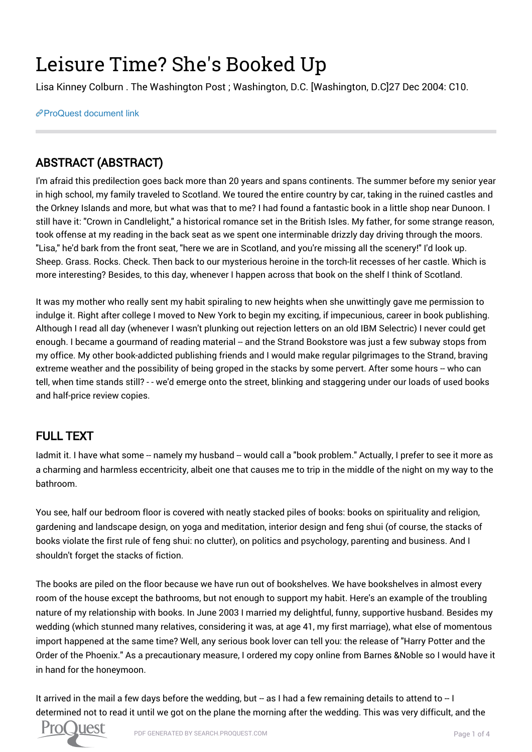## Leisure Time? She's Booked Up

Lisa Kinney Colburn . The Washington Post ; Washington, D.C. [Washington, D.C]27 Dec 2004: C10.

[ProQuest document link](https://search.proquest.com/docview/409752422?accountid=189667)

## ABSTRACT (ABSTRACT)

I'm afraid this predilection goes back more than 20 years and spans continents. The summer before my senior year in high school, my family traveled to Scotland. We toured the entire country by car, taking in the ruined castles and the Orkney Islands and more, but what was that to me? I had found a fantastic book in a little shop near Dunoon. I still have it: "Crown in Candlelight," a historical romance set in the British Isles. My father, for some strange reason, took offense at my reading in the back seat as we spent one interminable drizzly day driving through the moors. "Lisa," he'd bark from the front seat, "here we are in Scotland, and you're missing all the scenery!" I'd look up. Sheep. Grass. Rocks. Check. Then back to our mysterious heroine in the torch-lit recesses of her castle. Which is more interesting? Besides, to this day, whenever I happen across that book on the shelf I think of Scotland.

It was my mother who really sent my habit spiraling to new heights when she unwittingly gave me permission to indulge it. Right after college I moved to New York to begin my exciting, if impecunious, career in book publishing. Although I read all day (whenever I wasn't plunking out rejection letters on an old IBM Selectric) I never could get enough. I became a gourmand of reading material -- and the Strand Bookstore was just a few subway stops from my office. My other book-addicted publishing friends and I would make regular pilgrimages to the Strand, braving extreme weather and the possibility of being groped in the stacks by some pervert. After some hours -- who can tell, when time stands still? - - we'd emerge onto the street, blinking and staggering under our loads of used books and half-price review copies.

## FULL TEXT

ladmit it. I have what some -- namely my husband -- would call a "book problem." Actually, I prefer to see it more as a charming and harmless eccentricity, albeit one that causes me to trip in the middle of the night on my way to the bathroom.

You see, half our bedroom floor is covered with neatly stacked piles of books: books on spirituality and religion, gardening and landscape design, on yoga and meditation, interior design and feng shui (of course, the stacks of books violate the first rule of feng shui: no clutter), on politics and psychology, parenting and business. And I shouldn't forget the stacks of fiction.

The books are piled on the floor because we have run out of bookshelves. We have bookshelves in almost every room of the house except the bathrooms, but not enough to support my habit. Here's an example of the troubling nature of my relationship with books. In June 2003 I married my delightful, funny, supportive husband. Besides my wedding (which stunned many relatives, considering it was, at age 41, my first marriage), what else of momentous import happened at the same time? Well, any serious book lover can tell you: the release of "Harry Potter and the Order of the Phoenix." As a precautionary measure, I ordered my copy online from Barnes &Noble so I would have it in hand for the honeymoon.

It arrived in the mail a few days before the wedding, but -- as I had a few remaining details to attend to  $-1$ determined not to read it until we got on the plane the morning after the wedding. This was very difficult, and the

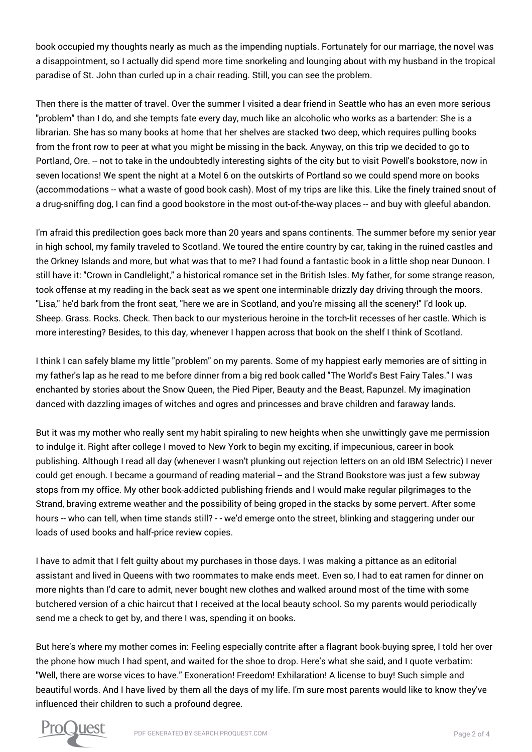book occupied my thoughts nearly as much as the impending nuptials. Fortunately for our marriage, the novel was a disappointment, so I actually did spend more time snorkeling and lounging about with my husband in the tropical paradise of St. John than curled up in a chair reading. Still, you can see the problem.

Then there is the matter of travel. Over the summer I visited a dear friend in Seattle who has an even more serious "problem" than I do, and she tempts fate every day, much like an alcoholic who works as a bartender: She is a librarian. She has so many books at home that her shelves are stacked two deep, which requires pulling books from the front row to peer at what you might be missing in the back. Anyway, on this trip we decided to go to Portland, Ore. -- not to take in the undoubtedly interesting sights of the city but to visit Powell's bookstore, now in seven locations! We spent the night at a Motel 6 on the outskirts of Portland so we could spend more on books (accommodations -- what a waste of good book cash). Most of my trips are like this. Like the finely trained snout of a drug-sniffing dog, I can find a good bookstore in the most out-of-the-way places -- and buy with gleeful abandon.

I'm afraid this predilection goes back more than 20 years and spans continents. The summer before my senior year in high school, my family traveled to Scotland. We toured the entire country by car, taking in the ruined castles and the Orkney Islands and more, but what was that to me? I had found a fantastic book in a little shop near Dunoon. I still have it: "Crown in Candlelight," a historical romance set in the British Isles. My father, for some strange reason, took offense at my reading in the back seat as we spent one interminable drizzly day driving through the moors. "Lisa," he'd bark from the front seat, "here we are in Scotland, and you're missing all the scenery!" I'd look up. Sheep. Grass. Rocks. Check. Then back to our mysterious heroine in the torch-lit recesses of her castle. Which is more interesting? Besides, to this day, whenever I happen across that book on the shelf I think of Scotland.

I think I can safely blame my little "problem" on my parents. Some of my happiest early memories are of sitting in my father's lap as he read to me before dinner from a big red book called "The World's Best Fairy Tales." I was enchanted by stories about the Snow Queen, the Pied Piper, Beauty and the Beast, Rapunzel. My imagination danced with dazzling images of witches and ogres and princesses and brave children and faraway lands.

But it was my mother who really sent my habit spiraling to new heights when she unwittingly gave me permission to indulge it. Right after college I moved to New York to begin my exciting, if impecunious, career in book publishing. Although I read all day (whenever I wasn't plunking out rejection letters on an old IBM Selectric) I never could get enough. I became a gourmand of reading material -- and the Strand Bookstore was just a few subway stops from my office. My other book-addicted publishing friends and I would make regular pilgrimages to the Strand, braving extreme weather and the possibility of being groped in the stacks by some pervert. After some hours -- who can tell, when time stands still? - - we'd emerge onto the street, blinking and staggering under our loads of used books and half-price review copies.

I have to admit that I felt guilty about my purchases in those days. I was making a pittance as an editorial assistant and lived in Queens with two roommates to make ends meet. Even so, I had to eat ramen for dinner on more nights than I'd care to admit, never bought new clothes and walked around most of the time with some butchered version of a chic haircut that I received at the local beauty school. So my parents would periodically send me a check to get by, and there I was, spending it on books.

But here's where my mother comes in: Feeling especially contrite after a flagrant book-buying spree, I told her over the phone how much I had spent, and waited for the shoe to drop. Here's what she said, and I quote verbatim: "Well, there are worse vices to have." Exoneration! Freedom! Exhilaration! A license to buy! Such simple and beautiful words. And I have lived by them all the days of my life. I'm sure most parents would like to know they've influenced their children to such a profound degree.

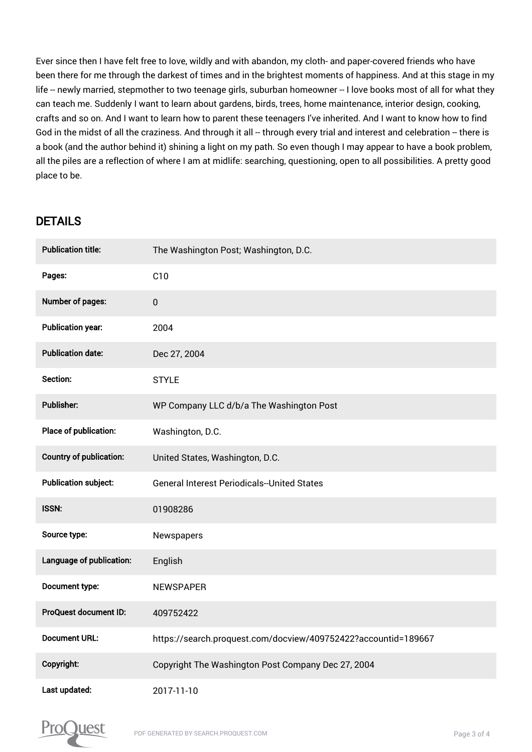Ever since then I have felt free to love, wildly and with abandon, my cloth- and paper-covered friends who have been there for me through the darkest of times and in the brightest moments of happiness. And at this stage in my life -- newly married, stepmother to two teenage girls, suburban homeowner -- I love books most of all for what they can teach me. Suddenly I want to learn about gardens, birds, trees, home maintenance, interior design, cooking, crafts and so on. And I want to learn how to parent these teenagers I've inherited. And I want to know how to find God in the midst of all the craziness. And through it all -- through every trial and interest and celebration -- there is a book (and the author behind it) shining a light on my path. So even though I may appear to have a book problem, all the piles are a reflection of where I am at midlife: searching, questioning, open to all possibilities. A pretty good place to be.

## DETAILS

| <b>Publication title:</b>      | The Washington Post; Washington, D.C.                          |
|--------------------------------|----------------------------------------------------------------|
| Pages:                         | C10                                                            |
| <b>Number of pages:</b>        | $\pmb{0}$                                                      |
| <b>Publication year:</b>       | 2004                                                           |
| <b>Publication date:</b>       | Dec 27, 2004                                                   |
| Section:                       | <b>STYLE</b>                                                   |
| <b>Publisher:</b>              | WP Company LLC d/b/a The Washington Post                       |
| Place of publication:          | Washington, D.C.                                               |
| <b>Country of publication:</b> | United States, Washington, D.C.                                |
| <b>Publication subject:</b>    | <b>General Interest Periodicals--United States</b>             |
| <b>ISSN:</b>                   | 01908286                                                       |
| Source type:                   | Newspapers                                                     |
| Language of publication:       | English                                                        |
| Document type:                 | <b>NEWSPAPER</b>                                               |
| ProQuest document ID:          | 409752422                                                      |
| <b>Document URL:</b>           | https://search.proquest.com/docview/409752422?accountid=189667 |
| Copyright:                     | Copyright The Washington Post Company Dec 27, 2004             |
| Last updated:                  | 2017-11-10                                                     |